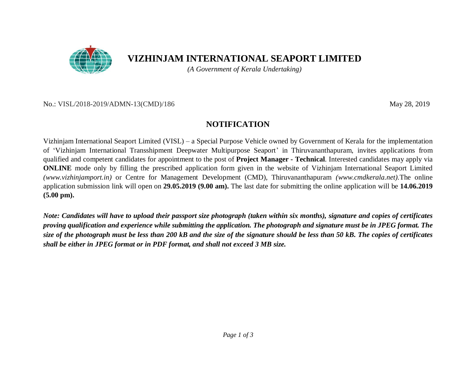

# **VIZHINJAM INTERNATIONAL SEAPORT LIMITED**

*(A Government of Kerala Undertaking)*

#### No.: VISL/2018-2019/ADMN-13(CMD)/186 May 28, 2019

## **NOTIFICATION**

Vizhinjam International Seaport Limited (VISL) – a Special Purpose Vehicle owned by Government of Kerala for the implementation of 'Vizhinjam International Transshipment Deepwater Multipurpose Seaport' in Thiruvananthapuram, invites applications from qualified and competent candidates for appointment to the post of **Project Manager - Technical**. Interested candidates may apply via **ONLINE** mode only by filling the prescribed application form given in the website of Vizhinjam International Seaport Limited *(www.vizhinjamport.in)* or Centre for Management Development (CMD), Thiruvananthapuram *(www.cmdkerala.net).*The online application submission link will open on **29.05.2019 (9.00 am).** The last date for submitting the online application will be **14.06.2019 (5.00 pm).**

*Note: Candidates will have to upload their passport size photograph (taken within six months), signature and copies of certificates proving qualification and experience while submitting the application. The photograph and signature must be in JPEG format. The size of the photograph must be less than 200 kB and the size of the signature should be less than 50 kB. The copies of certificates shall be either in JPEG format or in PDF format, and shall not exceed 3 MB size.*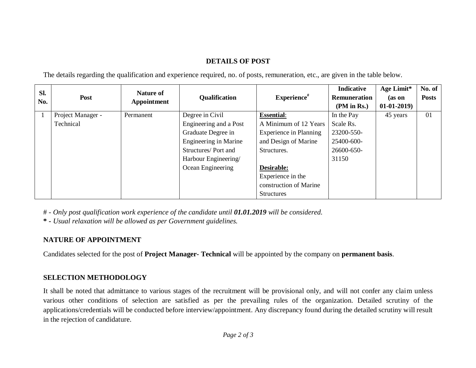### **DETAILS OF POST**

The details regarding the qualification and experience required, no. of posts, remuneration, etc., are given in the table below.

| Sl.<br>No. | Post              | <b>Nature of</b><br>Appointment | <b>Qualification</b>         | $Exercise\#$                  | <b>Indicative</b>   | Age Limit*   | No. of       |
|------------|-------------------|---------------------------------|------------------------------|-------------------------------|---------------------|--------------|--------------|
|            |                   |                                 |                              |                               | <b>Remuneration</b> | (as on       | <b>Posts</b> |
|            |                   |                                 |                              |                               | (PM in Rs.)         | $01-01-2019$ |              |
|            | Project Manager - | Permanent                       | Degree in Civil              | <b>Essential:</b>             | In the Pay          | 45 years     | 01           |
|            | Technical         |                                 | Engineering and a Post       | A Minimum of 12 Years         | Scale Rs.           |              |              |
|            |                   |                                 | Graduate Degree in           | <b>Experience in Planning</b> | 23200-550-          |              |              |
|            |                   |                                 | <b>Engineering in Marine</b> | and Design of Marine          | 25400-600-          |              |              |
|            |                   |                                 | Structures/Port and          | Structures.                   | 26600-650-          |              |              |
|            |                   |                                 | Harbour Engineering/         |                               | 31150               |              |              |
|            |                   |                                 | Ocean Engineering            | Desirable:                    |                     |              |              |
|            |                   |                                 |                              | Experience in the             |                     |              |              |
|            |                   |                                 |                              | construction of Marine        |                     |              |              |
|            |                   |                                 |                              | <b>Structures</b>             |                     |              |              |

# - *Only post qualification work experience of the candidate until 01.01.2019 will be considered.*

**\* -** *Usual relaxation will be allowed as per Government guidelines.*

## **NATURE OF APPOINTMENT**

Candidates selected for the post of **Project Manager- Technical** will be appointed by the company on **permanent basis**.

## **SELECTION METHODOLOGY**

It shall be noted that admittance to various stages of the recruitment will be provisional only, and will not confer any claim unless various other conditions of selection are satisfied as per the prevailing rules of the organization. Detailed scrutiny of the applications/credentials will be conducted before interview/appointment. Any discrepancy found during the detailed scrutiny will result in the rejection of candidature.